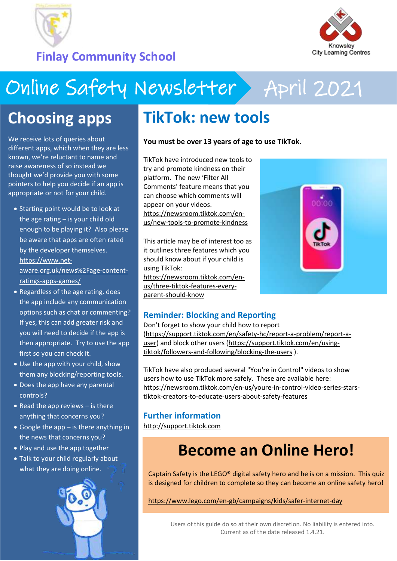

**City Learning Centres** 

### **Finlay Community School**

# Online Safety Newsletter April 2021

## **Choosing apps**

We receive lots of queries about different apps, which when they are less known, we're reluctant to name and raise awareness of so instead we thought we'd provide you with some pointers to help you decide if an app is appropriate or not for your child.

• Starting point would be to look at the age rating – is your child old enough to be playing it? Also please be aware that apps are often rated by the developer themselves. [https://www.net](https://www.net-aware.org.uk/news%2Fage-content-ratings-apps-games/)[aware.org.uk/news%2Fage-content-](https://www.net-aware.org.uk/news%2Fage-content-ratings-apps-games/)

[ratings-apps-games/](https://www.net-aware.org.uk/news%2Fage-content-ratings-apps-games/)

- Regardless of the age rating, does the app include any communication options such as chat or commenting? If yes, this can add greater risk and you will need to decide if the app is then appropriate. Try to use the app first so you can check it.
- Use the app with your child, show them any blocking/reporting tools.
- Does the app have any parental controls?
- Read the app reviews  $-$  is there anything that concerns you?
- Google the app is there anything in the news that concerns you?
- Play and use the app together
- Talk to your child regularly about what they are doing online.



# **TikTok: new tools**

#### **You must be over 13 years of age to use TikTok.**

TikTok have introduced new tools to try and promote kindness on their platform. The new 'Filter All Comments' feature means that you can choose which comments will appear on your videos. [https://newsroom.tiktok.com/en](https://newsroom.tiktok.com/en-us/new-tools-to-promote-kindness)[us/new-tools-to-promote-kindness](https://newsroom.tiktok.com/en-us/new-tools-to-promote-kindness)

This article may be of interest too as it outlines three features which you should know about if your child is using TikTok: [https://newsroom.tiktok.com/en-](https://newsroom.tiktok.com/en-us/three-tiktok-features-every-parent-should-know)

[us/three-tiktok-features-every](https://newsroom.tiktok.com/en-us/three-tiktok-features-every-parent-should-know)[parent-should-know](https://newsroom.tiktok.com/en-us/three-tiktok-features-every-parent-should-know)



#### **Reminder: Blocking and Reporting**

Don't forget to show your child how to report [\(https://support.tiktok.com/en/safety-hc/report-a-problem/report-a](https://support.tiktok.com/en/safety-hc/report-a-problem/report-a-user)[user\)](https://support.tiktok.com/en/safety-hc/report-a-problem/report-a-user) and block other users [\(https://support.tiktok.com/en/using](https://support.tiktok.com/en/using-tiktok/followers-and-following/blocking-the-users)[tiktok/followers-and-following/blocking-the-users](https://support.tiktok.com/en/using-tiktok/followers-and-following/blocking-the-users) ).

TikTok have also produced several "You're in Control" videos to show users how to use TikTok more safely. These are available here: [https://newsroom.tiktok.com/en-us/youre-in-control-video-series-stars](https://newsroom.tiktok.com/en-us/youre-in-control-video-series-stars-tiktok-creators-to-educate-users-about-safety-features)[tiktok-creators-to-educate-users-about-safety-features](https://newsroom.tiktok.com/en-us/youre-in-control-video-series-stars-tiktok-creators-to-educate-users-about-safety-features)

#### **Further information**

[http://support.tiktok.com](http://support.tiktok.com/?ht_kb=for-parents)

## **Become an Online Hero!**

Captain Safety is the LEGO® digital safety hero and he is on a mission. This quiz is designed for children to complete so they can become an online safety hero!

<https://www.lego.com/en-gb/campaigns/kids/safer-internet-day>

Users of this guide do so at their own discretion. No liability is entered into. Current as of the date released 1.4.21.